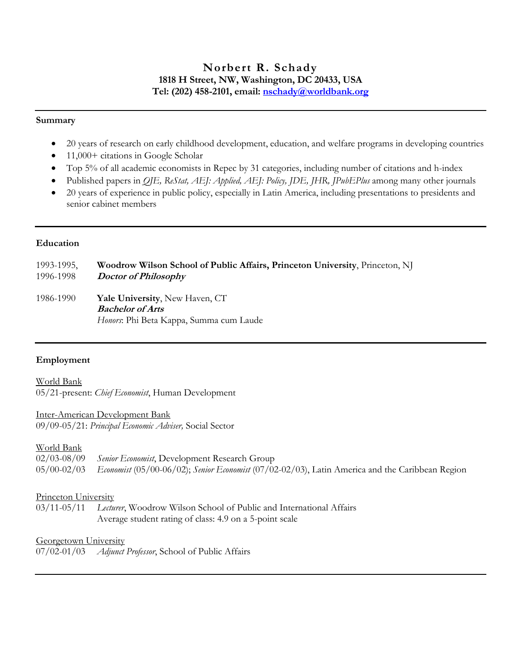# **Norbert R. Schady 1818 H Street, NW, Washington, DC 20433, USA Tel: (202) 458-2101, email: [nschady@worldbank.org](mailto:nschady@worldbank.org)**

#### **Summary**

- 20 years of research on early childhood development, education, and welfare programs in developing countries
- 11,000+ citations in Google Scholar
- Top 5% of all academic economists in Repec by 31 categories, including number of citations and h-index
- Published papers in *QJE, ReStat, AEJ: Applied, AEJ: Policy, JDE, JHR, JPubEPlus* among many other journals
- 20 years of experience in public policy, especially in Latin America, including presentations to presidents and senior cabinet members

### **Education**

| 1993-1995, | Woodrow Wilson School of Public Affairs, Princeton University, Princeton, NJ                                |
|------------|-------------------------------------------------------------------------------------------------------------|
| 1996-1998  | Doctor of Philosophy                                                                                        |
| 1986-1990  | <b>Yale University, New Haven, CT</b><br><b>Bachelor of Arts</b><br>Honors: Phi Beta Kappa, Summa cum Laude |

# **Employment**

World Bank 05/21-present: *Chief Economist*, Human Development

### Inter-American Development Bank

09/09-05/21: *Principal Economic Adviser,* Social Sector

# World Bank

| 02/03-08/09 Senior Economist, Development Research Group                                                    |
|-------------------------------------------------------------------------------------------------------------|
| 05/00-02/03 Economist (05/00-06/02); Senior Economist (07/02-02/03), Latin America and the Caribbean Region |

# Princeton University

03/11-05/11 *Lecturer*, Woodrow Wilson School of Public and International Affairs Average student rating of class: 4.9 on a 5-point scale

### Georgetown University

07/02-01/03 *Adjunct Professor*, School of Public Affairs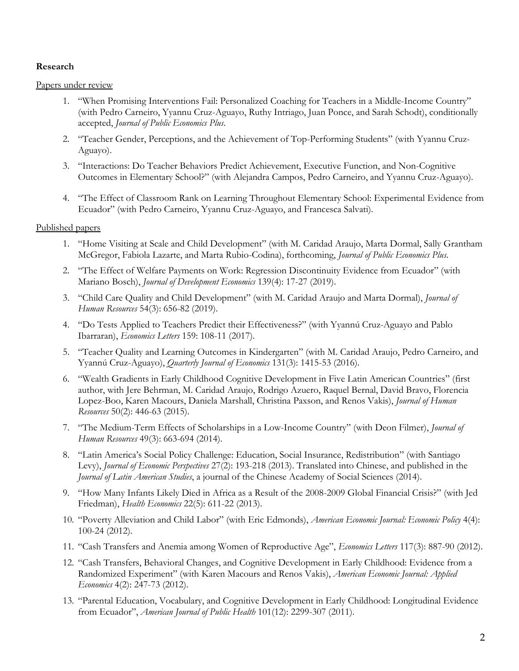### **Research**

### Papers under review

- 1. "When Promising Interventions Fail: Personalized Coaching for Teachers in a Middle-Income Country" (with Pedro Carneiro, Yyannu Cruz-Aguayo, Ruthy Intriago, Juan Ponce, and Sarah Schodt), conditionally accepted, *Journal of Public Economics Plus*.
- 2. "Teacher Gender, Perceptions, and the Achievement of Top-Performing Students" (with Yyannu Cruz-Aguayo).
- 3. "Interactions: Do Teacher Behaviors Predict Achievement, Executive Function, and Non-Cognitive Outcomes in Elementary School?" (with Alejandra Campos, Pedro Carneiro, and Yyannu Cruz-Aguayo).
- 4. "The Effect of Classroom Rank on Learning Throughout Elementary School: Experimental Evidence from Ecuador" (with Pedro Carneiro, Yyannu Cruz-Aguayo, and Francesca Salvati).

### Published papers

- 1. "Home Visiting at Scale and Child Development" (with M. Caridad Araujo, Marta Dormal, Sally Grantham McGregor, Fabiola Lazarte, and Marta Rubio-Codina), forthcoming, *Journal of Public Economics Plus*.
- 2. "The Effect of Welfare Payments on Work: Regression Discontinuity Evidence from Ecuador" (with Mariano Bosch), *Journal of Development Economics* 139(4): 17-27 (2019).
- 3. "Child Care Quality and Child Development" (with M. Caridad Araujo and Marta Dormal), *Journal of Human Resources* 54(3): 656-82 (2019).
- 4. "Do Tests Applied to Teachers Predict their Effectiveness?" (with Yyannú Cruz-Aguayo and Pablo Ibarraran), *Economics Letters* 159: 108-11 (2017).
- 5. "Teacher Quality and Learning Outcomes in Kindergarten" (with M. Caridad Araujo, Pedro Carneiro, and Yyannú Cruz-Aguayo), *Quarterly Journal of Economics* 131(3): 1415-53 (2016).
- 6. "Wealth Gradients in Early Childhood Cognitive Development in Five Latin American Countries" (first author, with Jere Behrman, M. Caridad Araujo, Rodrigo Azuero, Raquel Bernal, David Bravo, Florencia Lopez-Boo, Karen Macours, Daniela Marshall, Christina Paxson, and Renos Vakis), *Journal of Human Resources* 50(2): 446-63 (2015).
- 7. "The Medium-Term Effects of Scholarships in a Low-Income Country" (with Deon Filmer), *Journal of Human Resources* 49(3): 663-694 (2014).
- 8. "Latin America's Social Policy Challenge: Education, Social Insurance, Redistribution" (with Santiago Levy), *Journal of Economic Perspectives* 27(2): 193-218 (2013). Translated into Chinese, and published in the *Journal of Latin American Studies*, a journal of the Chinese Academy of Social Sciences (2014).
- 9. "How Many Infants Likely Died in Africa as a Result of the 2008-2009 Global Financial Crisis?" (with Jed Friedman), *Health Economics* 22(5): 611-22 (2013).
- 10. "Poverty Alleviation and Child Labor" (with Eric Edmonds), *American Economic Journal: Economic Policy* 4(4): 100-24 (2012).
- 11. "Cash Transfers and Anemia among Women of Reproductive Age", *Economics Letters* 117(3): 887-90 (2012).
- 12. "Cash Transfers, Behavioral Changes, and Cognitive Development in Early Childhood: Evidence from a Randomized Experiment" (with Karen Macours and Renos Vakis), *American Economic Journal: Applied Economics* 4(2): 247-73 (2012).
- 13. "Parental Education, Vocabulary, and Cognitive Development in Early Childhood: Longitudinal Evidence from Ecuador", *American Journal of Public Health* 101(12): 2299-307 (2011).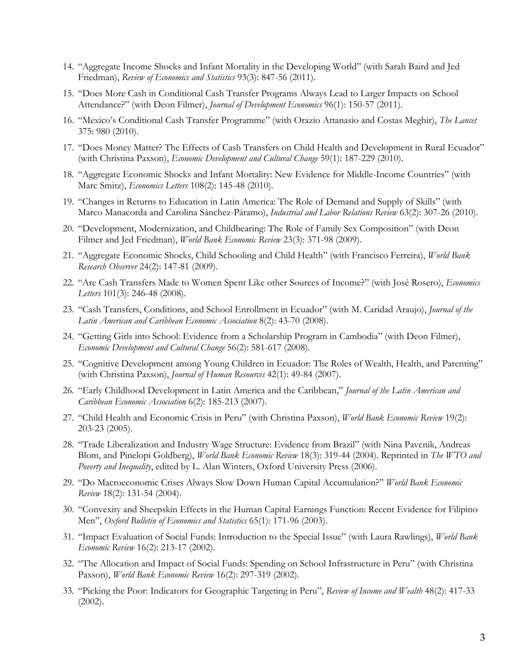- 14. "Aggregate Income Shocks and Infant Mortality in the Developing World" (with Sarah Baird and Jed Friedman), *Review of Economics and Statistics* 93(3): 847-56 (2011).
- 15. "Does More Cash in Conditional Cash Transfer Programs Always Lead to Larger Impacts on School Attendance?" (with Deon Filmer), *Journal of Development Economics* 96(1): 150-57 (2011).
- 16. "Mexico's Conditional Cash Transfer Programme" (with Orazio Attanasio and Costas Meghir), *The Lancet* 375: 980 (2010).
- 17. "Does Money Matter? The Effects of Cash Transfers on Child Health and Development in Rural Ecuador" (with Christina Paxson), *Economic Development and Cultural Change* 59(1): 187-229 (2010).
- 18. "Aggregate Economic Shocks and Infant Mortality: New Evidence for Middle-Income Countries" (with Marc Smitz), *Economics Letters* 108(2): 145-48 (2010).
- 19. "Changes in Returns to Education in Latin America: The Role of Demand and Supply of Skills" (with Marco Manacorda and Carolina Sánchez-Páramo), *Industrial and Labor Relations Review* 63(2): 307-26 (2010).
- 20. "Development, Modernization, and Childbearing: The Role of Family Sex Composition" (with Deon Filmer and Jed Friedman), *World Bank Economic Review* 23(3): 371-98 (2009).
- 21. "Aggregate Economic Shocks, Child Schooling and Child Health" (with Francisco Ferreira), *World Bank Research Observer* 24(2): 147-81 (2009).
- 22. "Are Cash Transfers Made to Women Spent Like other Sources of Income?" (with José Rosero), *Economics Letters* 101(3): 246-48 (2008).
- 23. "Cash Transfers, Conditions, and School Enrollment in Ecuador" (with M. Caridad Araujo), *Journal of the Latin American and Caribbean Economic Association* 8(2): 43-70 (2008).
- 24. "Getting Girls into School: Evidence from a Scholarship Program in Cambodia" (with Deon Filmer), *Economic Development and Cultural Change* 56(2): 581-617 (2008).
- 25. "Cognitive Development among Young Children in Ecuador: The Roles of Wealth, Health, and Parenting" (with Christina Paxson), *Journal of Human Resources* 42(1): 49-84 (2007).
- 26. "Early Childhood Development in Latin America and the Caribbean," *Journal of the Latin American and Caribbean Economic Association* 6(2): 185-213 (2007).
- 27. "Child Health and Economic Crisis in Peru" (with Christina Paxson), *World Bank Economic Review* 19(2): 203-23 (2005).
- 28. "Trade Liberalization and Industry Wage Structure: Evidence from Brazil" (with Nina Pavcnik, Andreas Blom, and Pinelopi Goldberg), *World Bank Economic Review* 18(3): 319-44 (2004). Reprinted in *The WTO and Poverty and Inequality*, edited by L. Alan Winters, Oxford University Press (2006).
- 29. "Do Macroeconomic Crises Always Slow Down Human Capital Accumulation?" *World Bank Economic Review* 18(2): 131-54 (2004).
- 30. "Convexity and Sheepskin Effects in the Human Capital Earnings Function: Recent Evidence for Filipino Men", *Oxford Bulletin of Economics and Statistics* 65(1): 171-96 (2003).
- 31. "Impact Evaluation of Social Funds: Introduction to the Special Issue" (with Laura Rawlings), *World Bank Economic Review* 16(2): 213-17 (2002).
- 32. "The Allocation and Impact of Social Funds: Spending on School Infrastructure in Peru" (with Christina Paxson), *World Bank Economic Review* 16(2): 297-319 (2002).
- 33. "Picking the Poor: Indicators for Geographic Targeting in Peru", *Review of Income and Wealth* 48(2): 417-33 (2002).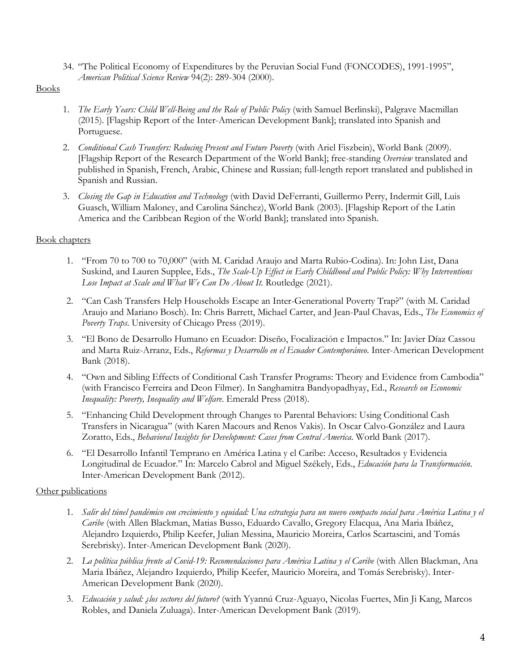34. "The Political Economy of Expenditures by the Peruvian Social Fund (FONCODES), 1991-1995", *American Political Science Review* 94(2): 289-304 (2000).

# Books

- 1. *The Early Years: Child Well-Being and the Role of Public Policy* (with Samuel Berlinski), Palgrave Macmillan (2015). [Flagship Report of the Inter-American Development Bank]; translated into Spanish and Portuguese.
- 2. *Conditional Cash Transfers: Reducing Present and Future Poverty* (with Ariel Fiszbein), World Bank (2009). [Flagship Report of the Research Department of the World Bank]; free-standing *Overview* translated and published in Spanish, French, Arabic, Chinese and Russian; full-length report translated and published in Spanish and Russian.
- 3. *Closing the Gap in Education and Technology* (with David DeFerranti, Guillermo Perry, Indermit Gill, Luis Guasch, William Maloney, and Carolina Sánchez), World Bank (2003). [Flagship Report of the Latin America and the Caribbean Region of the World Bank]; translated into Spanish.

# Book chapters

- 1. "From 70 to 700 to 70,000" (with M. Caridad Araujo and Marta Rubio-Codina). In: John List, Dana Suskind, and Lauren Supplee, Eds., *The Scale-Up Effect in Early Childhood and Public Policy: Why Interventions Lose Impact at Scale and What We Can Do About It.* Routledge (2021).
- 2. "Can Cash Transfers Help Households Escape an Inter-Generational Poverty Trap?" (with M. Caridad Araujo and Mariano Bosch). In: Chris Barrett, Michael Carter, and Jean-Paul Chavas, Eds., *The Economics of Poverty Traps*. University of Chicago Press (2019).
- 3. "El Bono de Desarrollo Humano en Ecuador: Diseño, Focalización e Impactos." In: Javier Díaz Cassou and Marta Ruiz-Arranz, Eds., *Reformas y Desarrollo en el Ecuador Contemporáneo*. Inter-American Development Bank (2018).
- 4. "Own and Sibling Effects of Conditional Cash Transfer Programs: Theory and Evidence from Cambodia" (with Francisco Ferreira and Deon Filmer). In Sanghamitra Bandyopadhyay, Ed., *Research on Economic Inequality: Poverty, Inequality and Welfare*. Emerald Press (2018).
- 5. "Enhancing Child Development through Changes to Parental Behaviors: Using Conditional Cash Transfers in Nicaragua" (with Karen Macours and Renos Vakis). In Oscar Calvo-González and Laura Zoratto, Eds., *Behavioral Insights for Development: Cases from Central America*. World Bank (2017).
- 6. "El Desarrollo Infantil Temprano en América Latina y el Caribe: Acceso, Resultados y Evidencia Longitudinal de Ecuador." In: Marcelo Cabrol and Miguel Székely, Eds., *Educación para la Transformación*. Inter-American Development Bank (2012).

# Other publications

- 1. *Salir del túnel pandémico con crecimiento y equidad: Una estrategia para un nuevo compacto social para América Latina y el Caribe* (with Allen Blackman, Matias Busso, Eduardo Cavallo, Gregory Elacqua, Ana Maria Ibáñez, Alejandro Izquierdo, Philip Keefer, Julian Messina, Mauricio Moreira, Carlos Scartascini, and Tomás Serebrisky). Inter-American Development Bank (2020).
- 2. *La política pública frente al Covid-19: Recomendaciones para América Latina y el Caribe* (with Allen Blackman, Ana Maria Ibáñez, Alejandro Izquierdo, Philip Keefer, Mauricio Moreira, and Tomás Serebrisky). Inter-American Development Bank (2020).
- 3. *[Educación y salud: ¿los sectores del futuro?](javascript:void(0))* (with Yyannú Cruz-Aguayo, Nicolas Fuertes, Min Ji Kang, Marcos Robles, and Daniela Zuluaga). Inter-American Development Bank (2019).